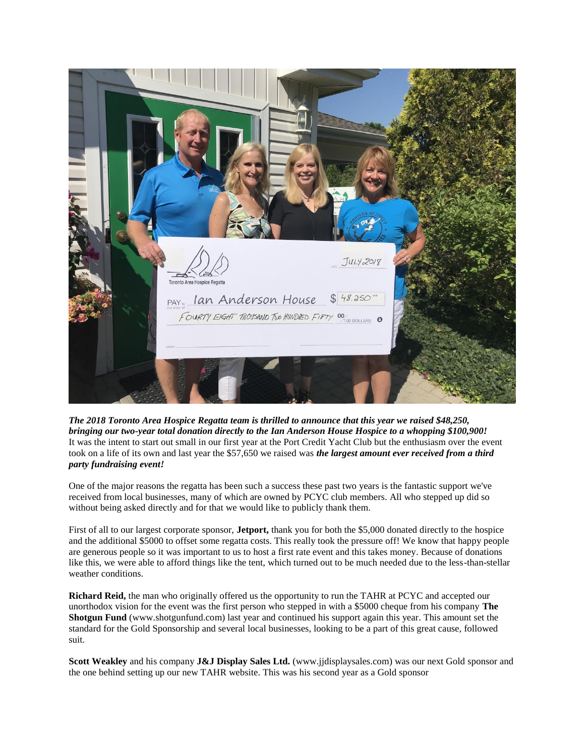

*The 2018 Toronto Area Hospice Regatta team is thrilled to announce that this year we raised \$48,250, bringing our two-year total donation directly to the Ian Anderson House Hospice to a whopping \$100,900!* It was the intent to start out small in our first year at the Port Credit Yacht Club but the enthusiasm over the event took on a life of its own and last year the \$57,650 we raised was *the largest amount ever received from a third party fundraising event!*

One of the major reasons the regatta has been such a success these past two years is the fantastic support we've received from local businesses, many of which are owned by PCYC club members. All who stepped up did so without being asked directly and for that we would like to publicly thank them.

First of all to our largest corporate sponsor, **Jetport,** thank you for both the \$5,000 donated directly to the hospice and the additional \$5000 to offset some regatta costs. This really took the pressure off! We know that happy people are generous people so it was important to us to host a first rate event and this takes money. Because of donations like this, we were able to afford things like the tent, which turned out to be much needed due to the less-than-stellar weather conditions.

**Richard Reid,** the man who originally offered us the opportunity to run the TAHR at PCYC and accepted our unorthodox vision for the event was the first person who stepped in with a \$5000 cheque from his company **The Shotgun Fund** (www.shotgunfund.com) last year and continued his support again this year. This amount set the standard for the Gold Sponsorship and several local businesses, looking to be a part of this great cause, followed suit.

**Scott Weakley** and his company **J&J Display Sales Ltd.** (www.jjdisplaysales.com) was our next Gold sponsor and the one behind setting up our new TAHR website. This was his second year as a Gold sponsor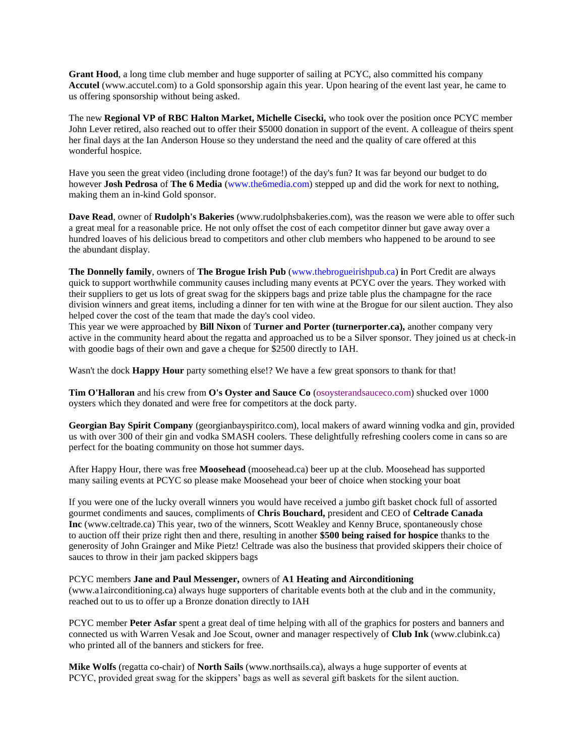**Grant Hood**, a long time club member and huge supporter of sailing at PCYC, also committed his company **Accutel** (www.accutel.com) to a Gold sponsorship again this year. Upon hearing of the event last year, he came to us offering sponsorship without being asked.

The new **Regional VP of RBC Halton Market, Michelle Cisecki,** who took over the position once PCYC member John Lever retired, also reached out to offer their \$5000 donation in support of the event. A colleague of theirs spent her final days at the Ian Anderson House so they understand the need and the quality of care offered at this wonderful hospice.

Have you seen the great video (including drone footage!) of the day's fun? It was far beyond our budget to do however **Josh Pedrosa** of **The 6 Media** (www.the6media.com) stepped up and did the work for next to nothing, making them an in-kind Gold sponsor.

**Dave Read**, owner of **Rudolph's Bakeries** (www.rudolphsbakeries.com), was the reason we were able to offer such a great meal for a reasonable price. He not only offset the cost of each competitor dinner but gave away over a hundred loaves of his delicious bread to competitors and other club members who happened to be around to see the abundant display.

**The Donnelly family**, owners of **The Brogue Irish Pub** (www.thebrogueirishpub.ca) **i**n Port Credit are always quick to support worthwhile community causes including many events at PCYC over the years. They worked with their suppliers to get us lots of great swag for the skippers bags and prize table plus the champagne for the race division winners and great items, including a dinner for ten with wine at the Brogue for our silent auction. They also helped cover the cost of the team that made the day's cool video.

This year we were approached by **Bill Nixon** of **Turner and Porter (turnerporter.ca),** another company very active in the community heard about the regatta and approached us to be a Silver sponsor. They joined us at check-in with goodie bags of their own and gave a cheque for \$2500 directly to IAH.

Wasn't the dock **Happy Hour** party something else!? We have a few great sponsors to thank for that!

**Tim O'Halloran** and his crew from **O's Oyster and Sauce Co** (osoysterandsauceco.com) shucked over 1000 oysters which they donated and were free for competitors at the dock party.

**Georgian Bay Spirit Company** (georgianbayspiritco.com), local makers of award winning vodka and gin, provided us with over 300 of their gin and vodka SMASH coolers. These delightfully refreshing coolers come in cans so are perfect for the boating community on those hot summer days.

After Happy Hour, there was free **Moosehead** (moosehead.ca) beer up at the club. Moosehead has supported many sailing events at PCYC so please make Moosehead your beer of choice when stocking your boat

If you were one of the lucky overall winners you would have received a jumbo gift basket chock full of assorted gourmet condiments and sauces, compliments of **Chris Bouchard,** president and CEO of **Celtrade Canada Inc** (www.celtrade.ca) This year, two of the winners, Scott Weakley and Kenny Bruce, spontaneously chose to auction off their prize right then and there, resulting in another **\$500 being raised for hospice** thanks to the generosity of John Grainger and Mike Pietz! Celtrade was also the business that provided skippers their choice of sauces to throw in their jam packed skippers bags

## PCYC members **Jane and Paul Messenger,** owners of **A1 Heating and Airconditioning**

(www.a1airconditioning.ca) always huge supporters of charitable events both at the club and in the community, reached out to us to offer up a Bronze donation directly to IAH

PCYC member **Peter Asfar** spent a great deal of time helping with all of the graphics for posters and banners and connected us with Warren Vesak and Joe Scout, owner and manager respectively of **Club Ink** (www.clubink.ca) who printed all of the banners and stickers for free.

**Mike Wolfs** (regatta co-chair) of **North Sails** (www.northsails.ca), always a huge supporter of events at PCYC, provided great swag for the skippers' bags as well as several gift baskets for the silent auction.